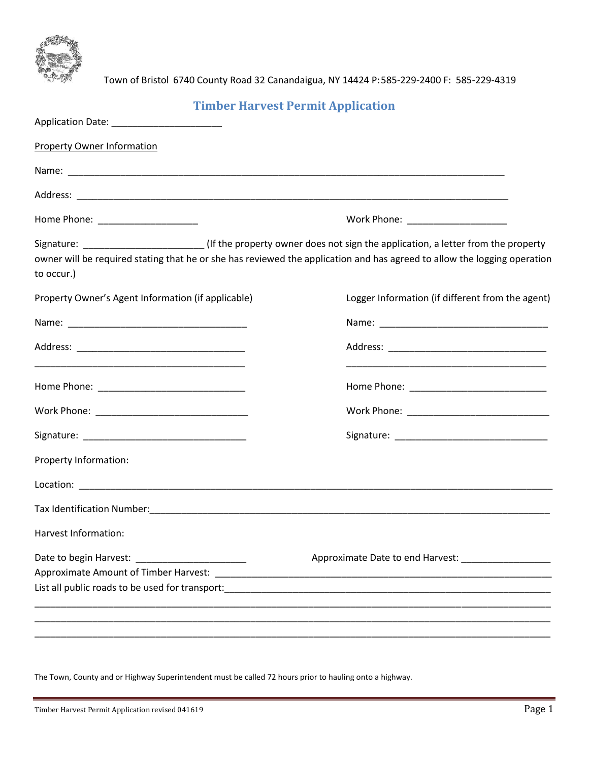

Town of Bristol 6740 County Road 32 Canandaigua, NY 14424 P:585-229-2400 F: 585-229-4319

## **Timber Harvest Permit Application**

| Application Date: ________________________                                                                                                                                                                                            |                                                        |
|---------------------------------------------------------------------------------------------------------------------------------------------------------------------------------------------------------------------------------------|--------------------------------------------------------|
| Property Owner Information                                                                                                                                                                                                            |                                                        |
|                                                                                                                                                                                                                                       |                                                        |
|                                                                                                                                                                                                                                       |                                                        |
| Home Phone: _______________________                                                                                                                                                                                                   | Work Phone: _____________________                      |
| Signature: (If the property owner does not sign the application, a letter from the property<br>owner will be required stating that he or she has reviewed the application and has agreed to allow the logging operation<br>to occur.) |                                                        |
| Property Owner's Agent Information (if applicable)                                                                                                                                                                                    | Logger Information (if different from the agent)       |
|                                                                                                                                                                                                                                       |                                                        |
|                                                                                                                                                                                                                                       |                                                        |
|                                                                                                                                                                                                                                       |                                                        |
|                                                                                                                                                                                                                                       |                                                        |
|                                                                                                                                                                                                                                       |                                                        |
| Property Information:                                                                                                                                                                                                                 |                                                        |
|                                                                                                                                                                                                                                       |                                                        |
|                                                                                                                                                                                                                                       |                                                        |
| Harvest Information:                                                                                                                                                                                                                  |                                                        |
|                                                                                                                                                                                                                                       | Approximate Date to end Harvest: _____________________ |
|                                                                                                                                                                                                                                       |                                                        |

The Town, County and or Highway Superintendent must be called 72 hours prior to hauling onto a highway.